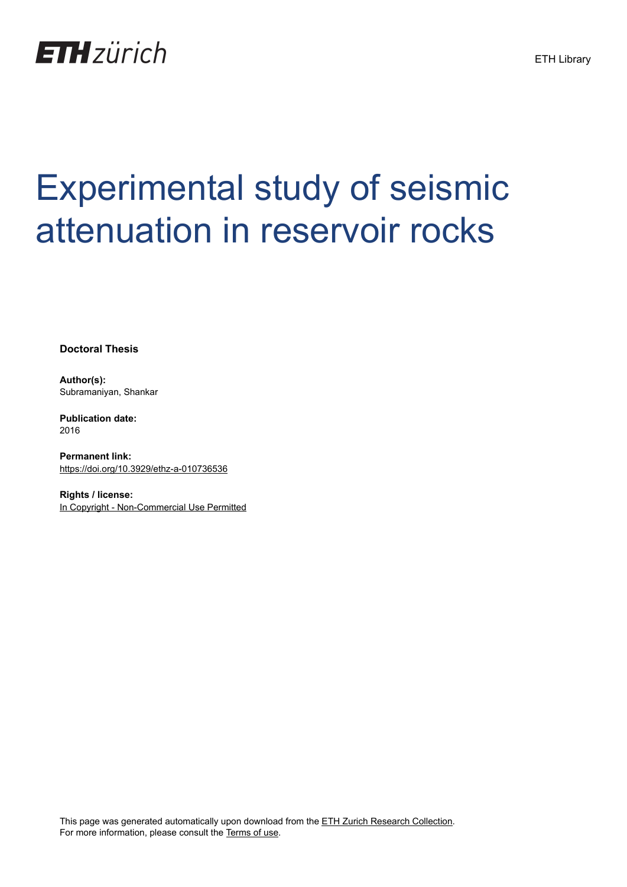

# Experimental study of seismic attenuation in reservoir rocks

**Doctoral Thesis**

**Author(s):** Subramaniyan, Shankar

**Publication date:** 2016

**Permanent link:** <https://doi.org/10.3929/ethz-a-010736536>

**Rights / license:** [In Copyright - Non-Commercial Use Permitted](http://rightsstatements.org/page/InC-NC/1.0/)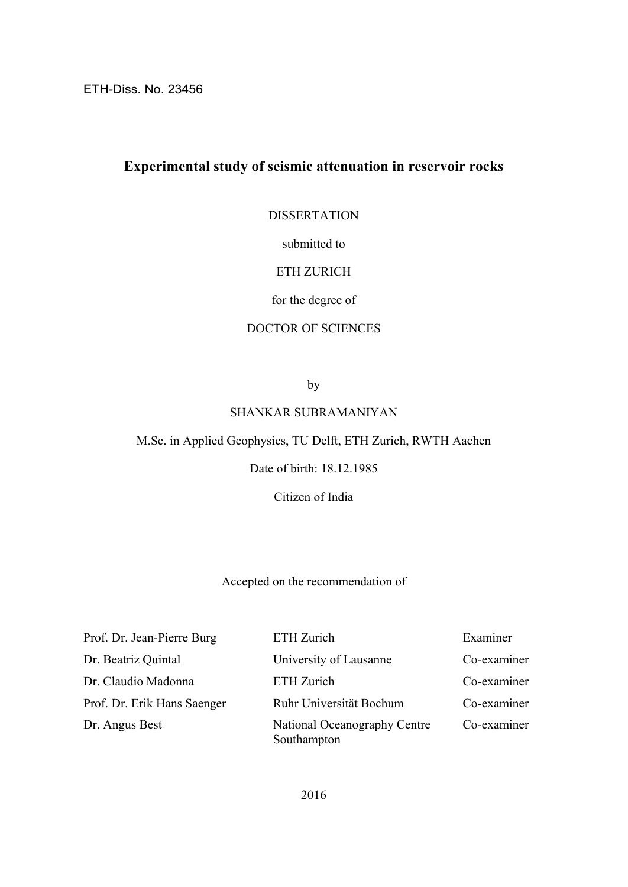ETH-Diss. No. 23456

## **Experimental study of seismic attenuation in reservoir rocks**

DISSERTATION

submitted to

#### ETH ZURICH

#### for the degree of

#### DOCTOR OF SCIENCES

by

#### SHANKAR SUBRAMANIYAN

M.Sc. in Applied Geophysics, TU Delft, ETH Zurich, RWTH Aachen

Date of birth: 18.12.1985

Citizen of India

Accepted on the recommendation of

Prof. Dr. Jean-Pierre Burg ETH Zurich Examiner Dr. Beatriz Quintal University of Lausanne Co-examiner Dr. Claudio Madonna ETH Zurich Co-examiner Prof. Dr. Erik Hans Saenger Ruhr Universität Bochum Co-examiner Dr. Angus Best National Oceanography Centre Co-examiner Southampton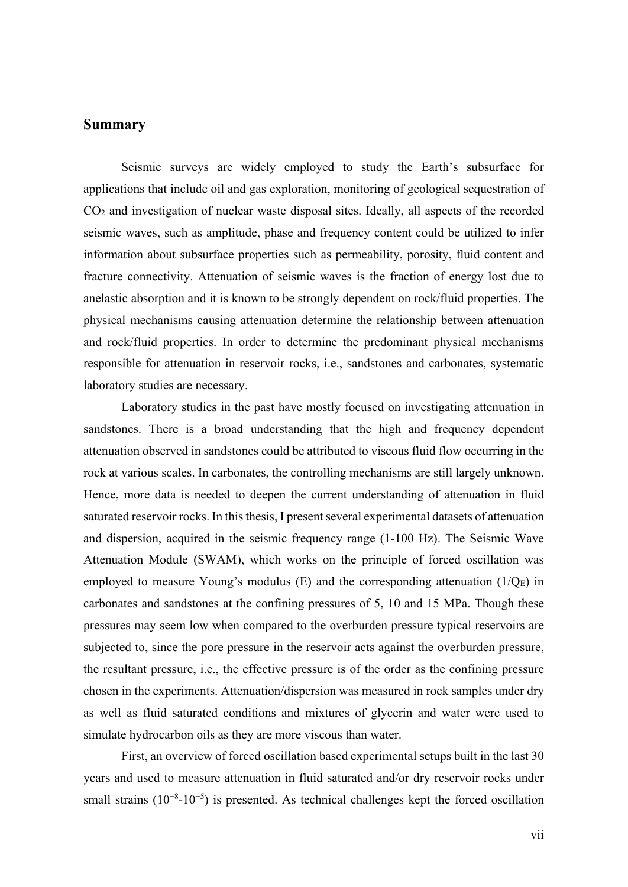### **Summary**

Seismic surveys are widely employed to study the Earth's subsurface for applications that include oil and gas exploration, monitoring of geological sequestration of CO2 and investigation of nuclear waste disposal sites. Ideally, all aspects of the recorded seismic waves, such as amplitude, phase and frequency content could be utilized to infer information about subsurface properties such as permeability, porosity, fluid content and fracture connectivity. Attenuation of seismic waves is the fraction of energy lost due to anelastic absorption and it is known to be strongly dependent on rock/fluid properties. The physical mechanisms causing attenuation determine the relationship between attenuation and rock/fluid properties. In order to determine the predominant physical mechanisms responsible for attenuation in reservoir rocks, i.e., sandstones and carbonates, systematic laboratory studies are necessary.

Laboratory studies in the past have mostly focused on investigating attenuation in sandstones. There is a broad understanding that the high and frequency dependent attenuation observed in sandstones could be attributed to viscous fluid flow occurring in the rock at various scales. In carbonates, the controlling mechanisms are still largely unknown. Hence, more data is needed to deepen the current understanding of attenuation in fluid saturated reservoir rocks. In this thesis, I present several experimental datasets of attenuation and dispersion, acquired in the seismic frequency range (1-100 Hz). The Seismic Wave Attenuation Module (SWAM), which works on the principle of forced oscillation was employed to measure Young's modulus  $(E)$  and the corresponding attenuation  $(1/Q_E)$  in carbonates and sandstones at the confining pressures of 5, 10 and 15 MPa. Though these pressures may seem low when compared to the overburden pressure typical reservoirs are subjected to, since the pore pressure in the reservoir acts against the overburden pressure, the resultant pressure, i.e., the effective pressure is of the order as the confining pressure chosen in the experiments. Attenuation/dispersion was measured in rock samples under dry as well as fluid saturated conditions and mixtures of glycerin and water were used to simulate hydrocarbon oils as they are more viscous than water.

First, an overview of forced oscillation based experimental setups built in the last 30 years and used to measure attenuation in fluid saturated and/or dry reservoir rocks under small strains (10<sup>-8</sup>-10<sup>-5</sup>) is presented. As technical challenges kept the forced oscillation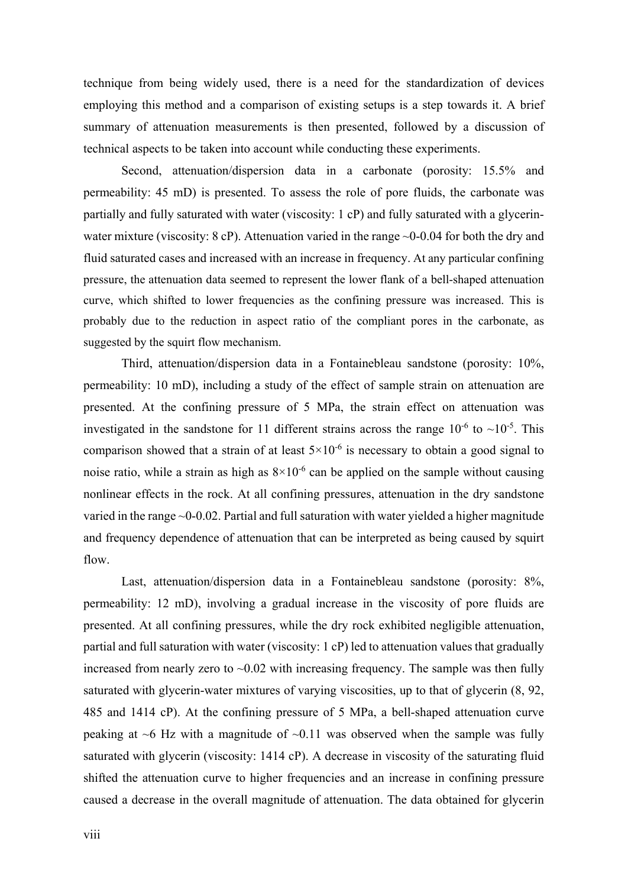technique from being widely used, there is a need for the standardization of devices employing this method and a comparison of existing setups is a step towards it. A brief summary of attenuation measurements is then presented, followed by a discussion of technical aspects to be taken into account while conducting these experiments.

Second, attenuation/dispersion data in a carbonate (porosity: 15.5% and permeability: 45 mD) is presented. To assess the role of pore fluids, the carbonate was partially and fully saturated with water (viscosity: 1 cP) and fully saturated with a glycerinwater mixture (viscosity:  $8 \text{ cP}$ ). Attenuation varied in the range  $\sim 0$ -0.04 for both the dry and fluid saturated cases and increased with an increase in frequency. At any particular confining pressure, the attenuation data seemed to represent the lower flank of a bell-shaped attenuation curve, which shifted to lower frequencies as the confining pressure was increased. This is probably due to the reduction in aspect ratio of the compliant pores in the carbonate, as suggested by the squirt flow mechanism.

Third, attenuation/dispersion data in a Fontainebleau sandstone (porosity: 10%, permeability: 10 mD), including a study of the effect of sample strain on attenuation are presented. At the confining pressure of 5 MPa, the strain effect on attenuation was investigated in the sandstone for 11 different strains across the range  $10^{-6}$  to  $\sim 10^{-5}$ . This comparison showed that a strain of at least  $5\times10^{-6}$  is necessary to obtain a good signal to noise ratio, while a strain as high as  $8\times10^{-6}$  can be applied on the sample without causing nonlinear effects in the rock. At all confining pressures, attenuation in the dry sandstone varied in the range ~0-0.02. Partial and full saturation with water yielded a higher magnitude and frequency dependence of attenuation that can be interpreted as being caused by squirt flow.

Last, attenuation/dispersion data in a Fontainebleau sandstone (porosity:  $8\%$ , permeability: 12 mD), involving a gradual increase in the viscosity of pore fluids are presented. At all confining pressures, while the dry rock exhibited negligible attenuation, partial and full saturation with water (viscosity: 1 cP) led to attenuation values that gradually increased from nearly zero to  $\sim 0.02$  with increasing frequency. The sample was then fully saturated with glycerin-water mixtures of varying viscosities, up to that of glycerin (8, 92, 485 and 1414 cP). At the confining pressure of 5 MPa, a bell-shaped attenuation curve peaking at  $\sim$ 6 Hz with a magnitude of  $\sim$ 0.11 was observed when the sample was fully saturated with glycerin (viscosity: 1414 cP). A decrease in viscosity of the saturating fluid shifted the attenuation curve to higher frequencies and an increase in confining pressure caused a decrease in the overall magnitude of attenuation. The data obtained for glycerin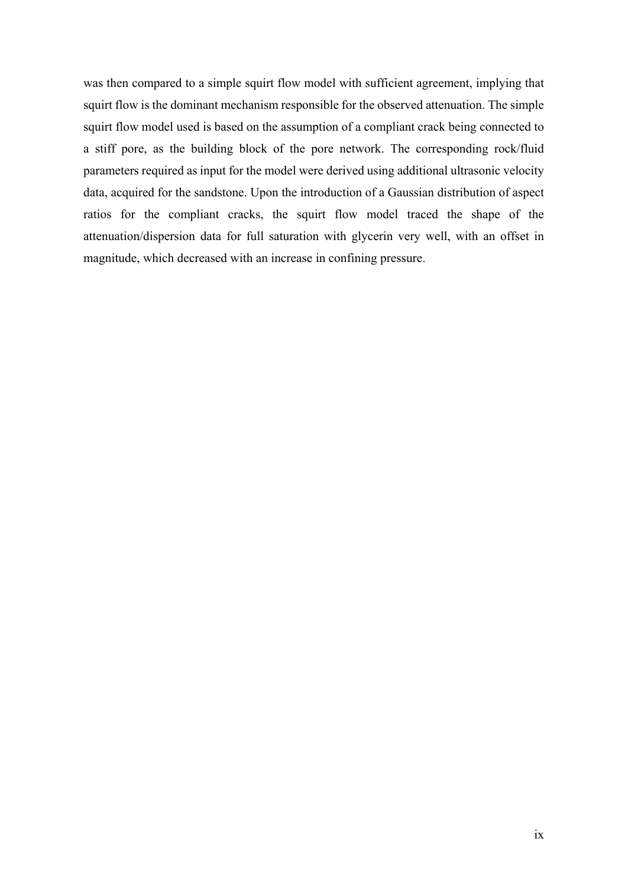was then compared to a simple squirt flow model with sufficient agreement, implying that squirt flow is the dominant mechanism responsible for the observed attenuation. The simple squirt flow model used is based on the assumption of a compliant crack being connected to a stiff pore, as the building block of the pore network. The corresponding rock/fluid parameters required as input for the model were derived using additional ultrasonic velocity data, acquired for the sandstone. Upon the introduction of a Gaussian distribution of aspect ratios for the compliant cracks, the squirt flow model traced the shape of the attenuation/dispersion data for full saturation with glycerin very well, with an offset in magnitude, which decreased with an increase in confining pressure.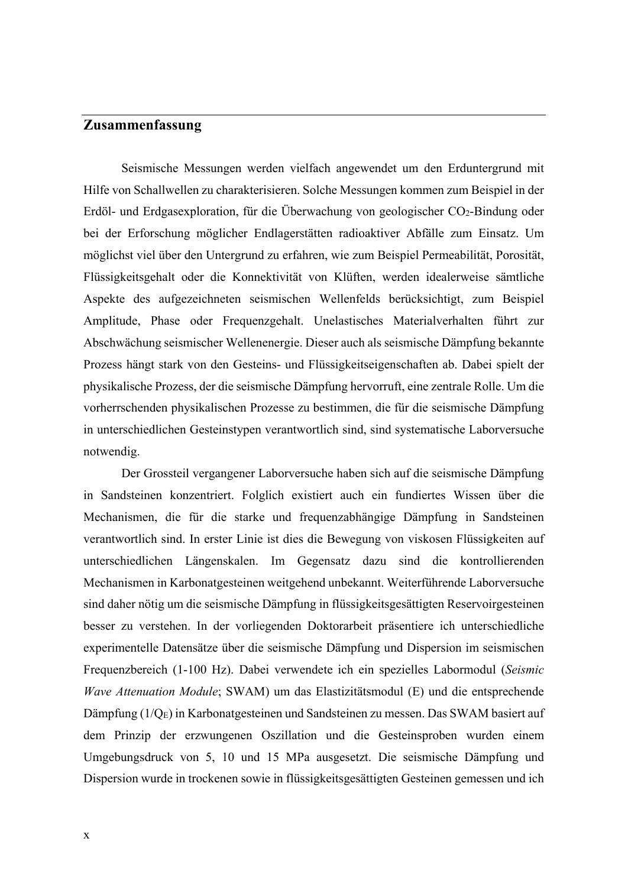# **Zusammenfassung**

Seismische Messungen werden vielfach angewendet um den Erduntergrund mit Hilfe von Schallwellen zu charakterisieren. Solche Messungen kommen zum Beispiel in der Erdöl- und Erdgasexploration, für die Überwachung von geologischer CO2-Bindung oder bei der Erforschung möglicher Endlagerstätten radioaktiver Abfälle zum Einsatz. Um möglichst viel über den Untergrund zu erfahren, wie zum Beispiel Permeabilität, Porosität, Flüssigkeitsgehalt oder die Konnektivität von Klüften, werden idealerweise sämtliche Aspekte des aufgezeichneten seismischen Wellenfelds berücksichtigt, zum Beispiel Amplitude, Phase oder Frequenzgehalt. Unelastisches Materialverhalten führt zur Abschwächung seismischer Wellenenergie. Dieser auch als seismische Dämpfung bekannte Prozess hängt stark von den Gesteins- und Flüssigkeitseigenschaften ab. Dabei spielt der physikalische Prozess, der die seismische Dämpfung hervorruft, eine zentrale Rolle. Um die vorherrschenden physikalischen Prozesse zu bestimmen, die für die seismische Dämpfung in unterschiedlichen Gesteinstypen verantwortlich sind, sind systematische Laborversuche notwendig.

Der Grossteil vergangener Laborversuche haben sich auf die seismische Dämpfung in Sandsteinen konzentriert. Folglich existiert auch ein fundiertes Wissen über die Mechanismen, die für die starke und frequenzabhängige Dämpfung in Sandsteinen verantwortlich sind. In erster Linie ist dies die Bewegung von viskosen Flüssigkeiten auf unterschiedlichen Längenskalen. Im Gegensatz dazu sind die kontrollierenden Mechanismen in Karbonatgesteinen weitgehend unbekannt. Weiterführende Laborversuche sind daher nötig um die seismische Dämpfung in flüssigkeitsgesättigten Reservoirgesteinen besser zu verstehen. In der vorliegenden Doktorarbeit präsentiere ich unterschiedliche experimentelle Datensätze über die seismische Dämpfung und Dispersion im seismischen Frequenzbereich (1-100 Hz). Dabei verwendete ich ein spezielles Labormodul (*Seismic Wave Attenuation Module*; SWAM) um das Elastizitätsmodul (E) und die entsprechende Dämpfung (1/QE) in Karbonatgesteinen und Sandsteinen zu messen. Das SWAM basiert auf dem Prinzip der erzwungenen Oszillation und die Gesteinsproben wurden einem Umgebungsdruck von 5, 10 und 15 MPa ausgesetzt. Die seismische Dämpfung und Dispersion wurde in trockenen sowie in flüssigkeitsgesättigten Gesteinen gemessen und ich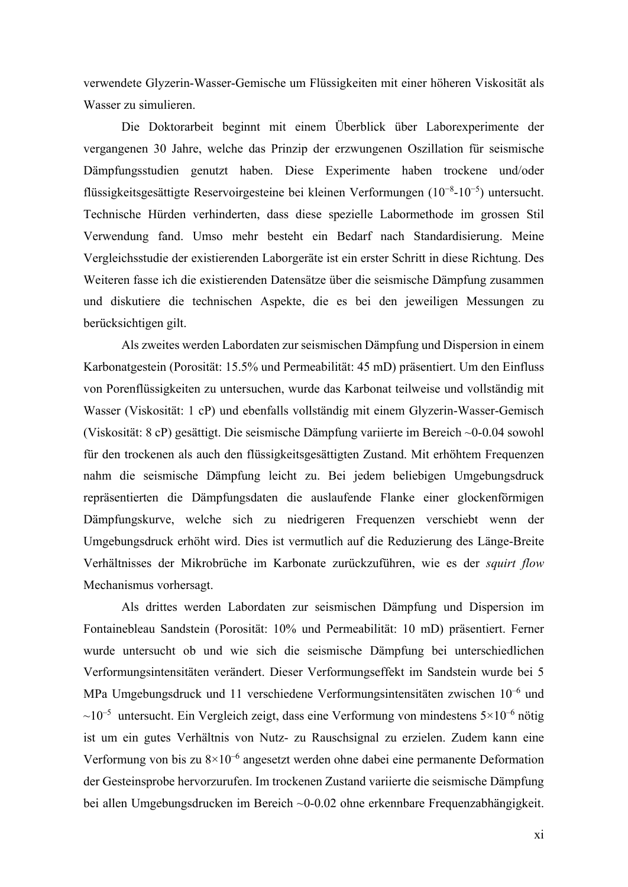verwendete Glyzerin-Wasser-Gemische um Flüssigkeiten mit einer höheren Viskosität als Wasser zu simulieren.

Die Doktorarbeit beginnt mit einem Überblick über Laborexperimente der vergangenen 30 Jahre, welche das Prinzip der erzwungenen Oszillation für seismische Dämpfungsstudien genutzt haben. Diese Experimente haben trockene und/oder flüssigkeitsgesättigte Reservoirgesteine bei kleinen Verformungen (10−8-10−5) untersucht. Technische Hürden verhinderten, dass diese spezielle Labormethode im grossen Stil Verwendung fand. Umso mehr besteht ein Bedarf nach Standardisierung. Meine Vergleichsstudie der existierenden Laborgeräte ist ein erster Schritt in diese Richtung. Des Weiteren fasse ich die existierenden Datensätze über die seismische Dämpfung zusammen und diskutiere die technischen Aspekte, die es bei den jeweiligen Messungen zu berücksichtigen gilt.

Als zweites werden Labordaten zur seismischen Dämpfung und Dispersion in einem Karbonatgestein (Porosität: 15.5% und Permeabilität: 45 mD) präsentiert. Um den Einfluss von Porenflüssigkeiten zu untersuchen, wurde das Karbonat teilweise und vollständig mit Wasser (Viskosität: 1 cP) und ebenfalls vollständig mit einem Glyzerin-Wasser-Gemisch (Viskosität: 8 cP) gesättigt. Die seismische Dämpfung variierte im Bereich ~0-0.04 sowohl für den trockenen als auch den flüssigkeitsgesättigten Zustand. Mit erhöhtem Frequenzen nahm die seismische Dämpfung leicht zu. Bei jedem beliebigen Umgebungsdruck repräsentierten die Dämpfungsdaten die auslaufende Flanke einer glockenförmigen Dämpfungskurve, welche sich zu niedrigeren Frequenzen verschiebt wenn der Umgebungsdruck erhöht wird. Dies ist vermutlich auf die Reduzierung des Länge-Breite Verhältnisses der Mikrobrüche im Karbonate zurückzuführen, wie es der *squirt flow* Mechanismus vorhersagt.

Als drittes werden Labordaten zur seismischen Dämpfung und Dispersion im Fontainebleau Sandstein (Porosität: 10% und Permeabilität: 10 mD) präsentiert. Ferner wurde untersucht ob und wie sich die seismische Dämpfung bei unterschiedlichen Verformungsintensitäten verändert. Dieser Verformungseffekt im Sandstein wurde bei 5 MPa Umgebungsdruck und 11 verschiedene Verformungsintensitäten zwischen 10–6 und  $\sim 10^{-5}$  untersucht. Ein Vergleich zeigt, dass eine Verformung von mindestens  $5 \times 10^{-6}$  nötig ist um ein gutes Verhältnis von Nutz- zu Rauschsignal zu erzielen. Zudem kann eine Verformung von bis zu  $8\times10^{-6}$  angesetzt werden ohne dabei eine permanente Deformation der Gesteinsprobe hervorzurufen. Im trockenen Zustand variierte die seismische Dämpfung bei allen Umgebungsdrucken im Bereich ~0-0.02 ohne erkennbare Frequenzabhängigkeit.